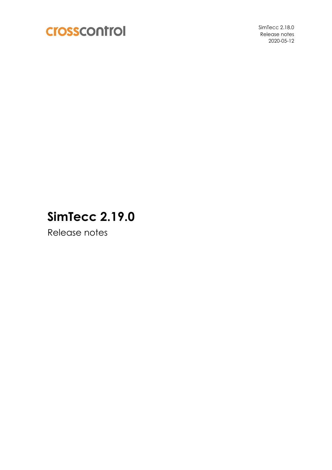

SimTecc 2.18.0 Release notes 2020-05-12

# **SimTecc 2.19.0**

Release notes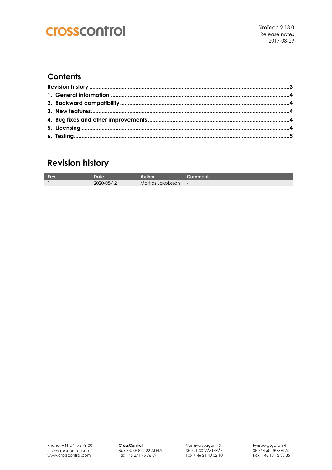## crosscontrol

#### **Contents**

### **Revision history**

| Rev | atro       |                   | Comments |
|-----|------------|-------------------|----------|
|     | 2020-05-12 | Mattias Jakobsson | $\sim$   |

**CrossControl** Box 83, SE-822 22 ALFTA Fax +46 271 75 76 89

Varmvalsvägen 13 SE-721 30 VÄSTERÅS Fax + 46 21 40 32 10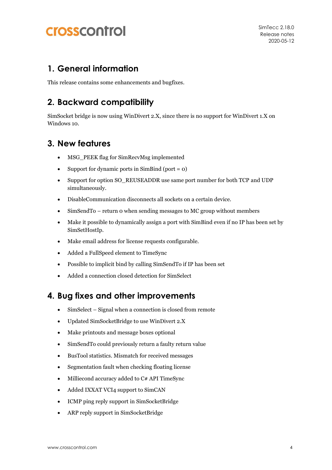## **Crosscontrol**

#### **1. General information**

This release contains some enhancements and bugfixes.

### **2. Backward compatibility**

SimSocket bridge is now using WinDivert 2.X, since there is no support for WinDivert 1.X on Windows 10.

#### **3. New features**

- MSG\_PEEK flag for SimRecvMsg implemented
- Support for dynamic ports in SimBind (port =  $o$ )
- Support for option SO\_REUSEADDR use same port number for both TCP and UDP simultaneously.
- DisableCommunication disconnects all sockets on a certain device.
- SimSendTo return 0 when sending messages to MC group without members
- Make it possible to dynamically assign a port with SimBind even if no IP has been set by SimSetHostIp.
- Make email address for license requests configurable.
- Added a FullSpeed element to TimeSync
- Possible to implicit bind by calling SimSendTo if IP has been set
- Added a connection closed detection for SimSelect

#### **4. Bug fixes and other improvements**

- SimSelect Signal when a connection is closed from remote
- Updated SimSocketBridge to use WinDivert 2.X
- Make printouts and message boxes optional
- SimSendTo could previously return a faulty return value
- BusTool statistics. Mismatch for received messages
- Segmentation fault when checking floating license
- Milliecond accuracy added to C# API TimeSync
- Added IXXAT VCI4 support to SimCAN
- ICMP ping reply support in SimSocketBridge
- ARP reply support in SimSocketBridge